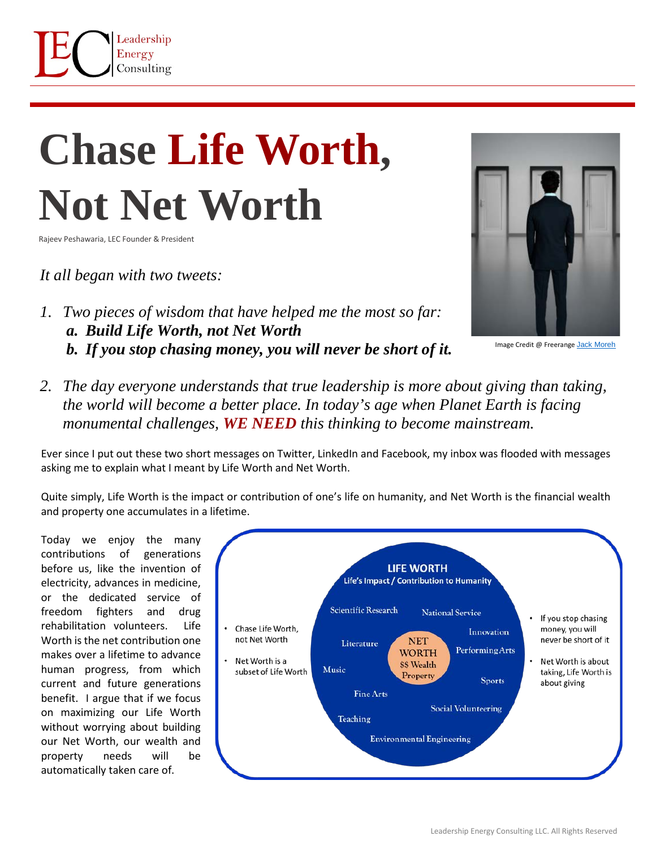

## **Chase Life Worth, Not Net Worth**

Rajeev Peshawaria, LEC Founder & President

*It all began with two tweets:*

- *1. Two pieces of wisdom that have helped me the most so far: a. Build Life Worth, not Net Worth*
	- *b. If you stop chasing money, you will never be short of it.*



Image Credit @ Freerange [Jack Moreh](https://freerangestock.com/photos/120463/which-door-to-choose--difficult-choices-concept.html)

*2. The day everyone understands that true leadership is more about giving than taking, the world will become a better place. In today's age when Planet Earth is facing monumental challenges, WE NEED this thinking to become mainstream.*

Ever since I put out these two short messages on Twitter, LinkedIn and Facebook, my inbox was flooded with messages asking me to explain what I meant by Life Worth and Net Worth.

Quite simply, Life Worth is the impact or contribution of one's life on humanity, and Net Worth is the financial wealth and property one accumulates in a lifetime.

Today we enjoy the many contributions of generations before us, like the invention of electricity, advances in medicine, or the dedicated service of freedom fighters and drug rehabilitation volunteers. Life Worth is the net contribution one makes over a lifetime to advance human progress, from which current and future generations benefit. I argue that if we focus on maximizing our Life Worth without worrying about building our Net Worth, our wealth and property needs will be automatically taken care of.

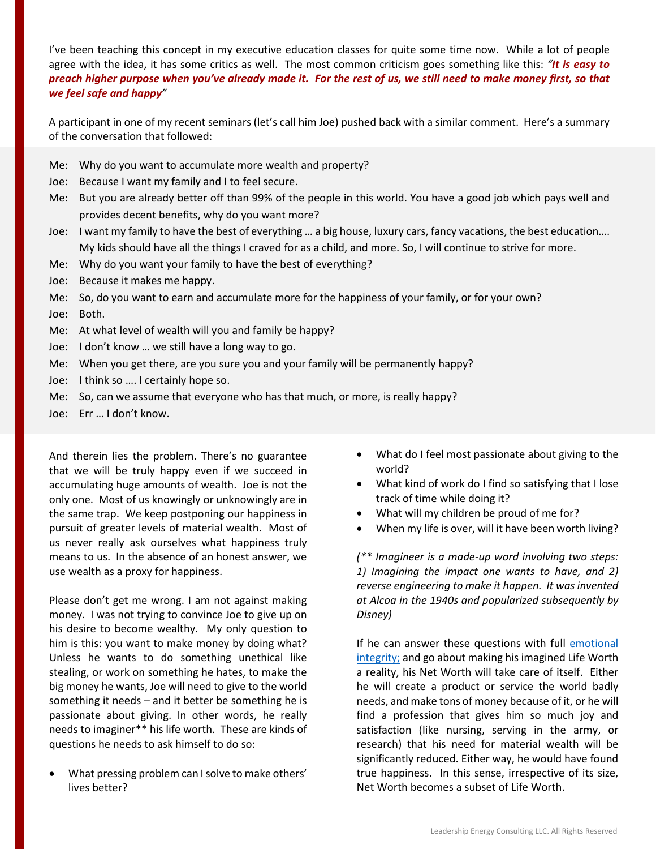I've been teaching this concept in my executive education classes for quite some time now. While a lot of people agree with the idea, it has some critics as well. The most common criticism goes something like this: *"It is easy to preach higher purpose when you've already made it. For the rest of us, we still need to make money first, so that we feel safe and happy"*

A participant in one of my recent seminars (let's call him Joe) pushed back with a similar comment. Here's a summary of the conversation that followed:

- Me: Why do you want to accumulate more wealth and property?
- Joe: Because I want my family and I to feel secure.
- Me: But you are already better off than 99% of the people in this world. You have a good job which pays well and provides decent benefits, why do you want more?
- Joe: I want my family to have the best of everything … a big house, luxury cars, fancy vacations, the best education…. My kids should have all the things I craved for as a child, and more. So, I will continue to strive for more.
- Me: Why do you want your family to have the best of everything?
- Joe: Because it makes me happy.
- Me: So, do you want to earn and accumulate more for the happiness of your family, or for your own?
- Joe: Both.
- Me: At what level of wealth will you and family be happy?
- Joe: I don't know … we still have a long way to go.
- Me: When you get there, are you sure you and your family will be permanently happy?
- Joe: I think so …. I certainly hope so.
- Me: So, can we assume that everyone who has that much, or more, is really happy?
- Joe: Err … I don't know.

And therein lies the problem. There's no guarantee that we will be truly happy even if we succeed in accumulating huge amounts of wealth. Joe is not the only one. Most of us knowingly or unknowingly are in the same trap. We keep postponing our happiness in pursuit of greater levels of material wealth. Most of us never really ask ourselves what happiness truly means to us. In the absence of an honest answer, we use wealth as a proxy for happiness.

Please don't get me wrong. I am not against making money. I was not trying to convince Joe to give up on his desire to become wealthy. My only question to him is this: you want to make money by doing what? Unless he wants to do something unethical like stealing, or work on something he hates, to make the big money he wants, Joe will need to give to the world something it needs – and it better be something he is passionate about giving. In other words, he really needs to imaginer\*\* his life worth. These are kinds of questions he needs to ask himself to do so:

• What pressing problem can I solve to make others' lives better?

- What do I feel most passionate about giving to the world?
- What kind of work do I find so satisfying that I lose track of time while doing it?
- What will my children be proud of me for?
- When my life is over, will it have been worth living?

*(\*\* Imagineer is a made-up word involving two steps: 1) Imagining the impact one wants to have, and 2) reverse engineering to make it happen. It was invented at Alcoa in the 1940s and popularized subsequently by Disney)*

If he can answer these questions with full [emotional](https://www.forbes.com/sites/rajeevpeshawaria/2014/11/17/emotional-integrity/#6c6a75f837ac)  [integrity;](https://www.forbes.com/sites/rajeevpeshawaria/2014/11/17/emotional-integrity/#6c6a75f837ac) and go about making his imagined Life Worth a reality, his Net Worth will take care of itself. Either he will create a product or service the world badly needs, and make tons of money because of it, or he will find a profession that gives him so much joy and satisfaction (like nursing, serving in the army, or research) that his need for material wealth will be significantly reduced. Either way, he would have found true happiness. In this sense, irrespective of its size, Net Worth becomes a subset of Life Worth.